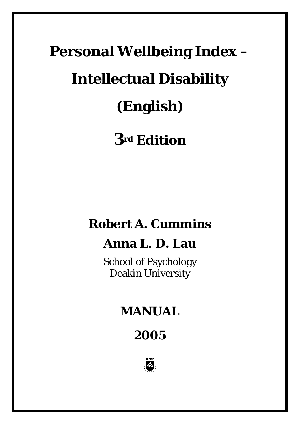# **Personal Wellbeing Index – Intellectual Disability (English)**

# **3rd Edition**

### **Robert A. Cummins**

### **Anna L. D. Lau**

School of Psychology Deakin University

## **MANUAL**

## **2005**

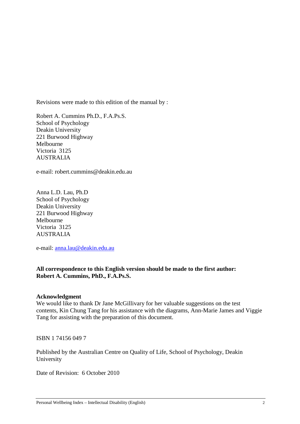Revisions were made to this edition of the manual by :

Robert A. Cummins Ph.D., F.A.Ps.S. School of Psychology Deakin University 221 Burwood Highway Melbourne Victoria 3125 AUSTRALIA

e-mail: robert.cummins@deakin.edu.au

Anna L.D. Lau, Ph.D School of Psychology Deakin University 221 Burwood Highway Melbourne Victoria 3125 AUSTRALIA

e-mail: [anna.lau@deakin.edu.au](mailto:anna.lau@deakin.edu.au)

#### **All correspondence to this English version should be made to the first author: Robert A. Cummins, PhD., F.A.Ps.S.**

#### **Acknowledgment**

We would like to thank Dr Jane McGillivary for her valuable suggestions on the test contents, Kin Chung Tang for his assistance with the diagrams, Ann-Marie James and Viggie Tang for assisting with the preparation of this document.

ISBN 1 74156 049 7

Published by the Australian Centre on Quality of Life, School of Psychology, Deakin University

Date of Revision: 6 October 2010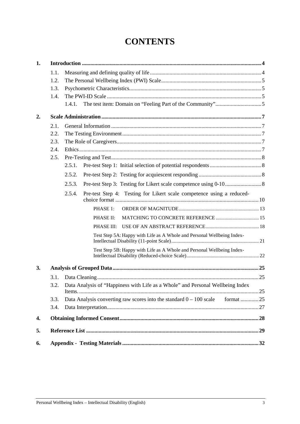### **CONTENTS**

| 1. |      |                                                                                 |  |  |
|----|------|---------------------------------------------------------------------------------|--|--|
|    | 1.1. |                                                                                 |  |  |
|    | 1.2. |                                                                                 |  |  |
|    | 1.3. |                                                                                 |  |  |
|    | 1.4. |                                                                                 |  |  |
|    |      | 1.4.1.                                                                          |  |  |
| 2. |      |                                                                                 |  |  |
|    | 2.1. |                                                                                 |  |  |
|    | 2.2. |                                                                                 |  |  |
|    | 2.3. |                                                                                 |  |  |
|    | 2.4. |                                                                                 |  |  |
|    | 2.5. |                                                                                 |  |  |
|    |      | 2.5.1.                                                                          |  |  |
|    |      | 2.5.2.                                                                          |  |  |
|    |      | 2.5.3.                                                                          |  |  |
|    |      | Pre-test Step 4: Testing for Likert scale competence using a reduced-<br>2.5.4. |  |  |
|    |      | PHASE 1:                                                                        |  |  |
|    |      | PHASE II:                                                                       |  |  |
|    |      | PHASE III:                                                                      |  |  |
|    |      | Test Step 5A: Happy with Life as A Whole and Personal Wellbeing Index-          |  |  |
|    |      | Test Step 5B: Happy with Life as A Whole and Personal Wellbeing Index-          |  |  |
| 3. |      |                                                                                 |  |  |
|    | 3.1. |                                                                                 |  |  |
|    | 32   | Data Analysis of "Happiness with Life as a Whole" and Personal Wellbeing Index  |  |  |
|    | 3.3. |                                                                                 |  |  |
|    | 3.4. |                                                                                 |  |  |
| 4. |      |                                                                                 |  |  |
| 5. |      |                                                                                 |  |  |
| 6. |      |                                                                                 |  |  |
|    |      |                                                                                 |  |  |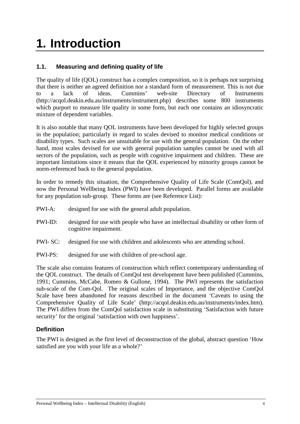# <span id="page-3-0"></span>**1. Introduction**

### <span id="page-3-1"></span>**1.1. Measuring and defining quality of life**

The quality of life (QOL) construct has a complex composition, so it is perhaps not surprising that there is neither an agreed definition nor a standard form of measurement. This is not due<br>to a lack of ideas. Cummins' web-site Directory of Instruments to a lack of ideas. Cummins' web-site Directory of Instruments (http://acqol.deakin.edu.au/instruments/instrument.php) describes some 800 instruments which purport to measure life quality in some form, but each one contains an idiosyncratic mixture of dependent variables.

It is also notable that many QOL instruments have been developed for highly selected groups in the population; particularly in regard to scales devised to monitor medical conditions or disability types. Such scales are unsuitable for use with the general population. On the other hand, most scales devised for use with general population samples cannot be used with all sectors of the population, such as people with cognitive impairment and children. These are important limitations since it means that the QOL experienced by minority groups cannot be norm-referenced back to the general population.

In order to remedy this situation, the Comprehensive Quality of Life Scale (ComQol), and now the Personal Wellbeing Index (PWI) have been developed. Parallel forms are available for any population sub-group. These forms are (see Reference List):

- PWI-A: designed for use with the general adult population.
- PWI-ID: designed for use with people who have an intellectual disability or other form of cognitive impairment.
- PWI- SC: designed for use with children and adolescents who are attending school.
- PWI-PS: designed for use with children of pre-school age.

The scale also contains features of construction which reflect contemporary understanding of the QOL construct. The details of ComQol test development have been published (Cummins, 1991; Cummins, McCabe, Romeo & Gullone, 1994). The PWI represents the satisfaction sub-scale of the Com-Qol. The original scales of Importance, and the objective ComQol Scale have been abandoned for reasons described in the document 'Caveats to using the Comprehensive Quality of Life Scale' (http://acqol.deakin.edu.au/instruments/index.htm). The PWI differs from the ComQol satisfaction scale in substituting 'Satisfaction with future security' for the original 'satisfaction with own happiness'.

#### **Definition**

The PWI is designed as the first level of deconstruction of the global, abstract question 'How satisfied are you with your life as a whole?'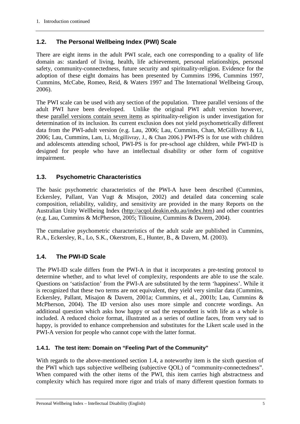#### <span id="page-4-0"></span>**1.2. The Personal Wellbeing Index (PWI) Scale**

There are eight items in the adult PWI scale, each one corresponding to a quality of life domain as: standard of living, health, life achievement, personal relationships, personal safety, community-connectedness, future security and spirituality-religion. Evidence for the adoption of these eight domains has been presented by Cummins 1996, Cummins 1997, Cummins, McCabe, Romeo, Reid, & Waters 1997 and The International Wellbeing Group, 2006).

The PWI scale can be used with any section of the population. Three parallel versions of the adult PWI have been developed. Unlike the original PWI adult version however, these parallel versions contain seven items as spirituality-religion is under investigation for determination of its inclusion. Its current exclusion does not yield psychometrically different data from the PWI-adult version (e.g. Lau, 2006; Lau, Cummins, Chan, McGillivray & Li, 2006; Lau, Cummins, Lam, Li, Mcgillivray, J., & Chan 2006.) PWI-PS is for use with children and adolescents attending school, PWI-PS is for pre-school age children, while PWI-ID is designed for people who have an intellectual disability or other form of cognitive impairment.

#### <span id="page-4-1"></span>**1.3. Psychometric Characteristics**

The basic psychometric characteristics of the PWI-A have been described (Cummins, Eckersley, Pallant, Van Vugt & Misajon, 2002) and detailed data concerning scale composition, reliability, validity, and sensitivity are provided in the many Reports on the Australian Unity Wellbeing Index [\(http://acqol.deakin.edu.au/index.htm\)](http://acqol.deakin.edu.au/index.htm) and other countries (e.g. Lau, Cummins & McPherson, 2005; Tiliouine, Cummins & Davern, 2004).

The cumulative psychometric characteristics of the adult scale are published in Cummins, R.A., Eckersley, R., Lo, S.K., Okerstrom, E., Hunter, B., & Davern, M. (2003).

#### <span id="page-4-2"></span>**1.4. The PWI-ID Scale**

The PWI-ID scale differs from the PWI-A in that it incorporates a pre-testing protocol to determine whether, and to what level of complexity, respondents are able to use the scale. Questions on 'satisfaction' from the PWI-A are substituted by the term 'happiness'. While it is recognized that these two terms are not equivalent, they yield very similar data (Cummins, Eckersley, Pallant, Misajon & Davern, 2001a; Cummins, et al., 2001b; Lau, Cummins & McPherson, 2004). The ID version also uses more simple and concrete wordings. An additional question which asks how happy or sad the respondent is with life as a whole is included. A reduced choice format, illustrated as a series of outline faces, from very sad to happy, is provided to enhance comprehension and substitutes for the Likert scale used in the PWI-A version for people who cannot cope with the latter format.

#### <span id="page-4-3"></span>**1.4.1. The test item: Domain on "Feeling Part of the Community"**

With regards to the above-mentioned section 1.4, a noteworthy item is the sixth question of the PWI which taps subjective wellbeing (subjective QOL) of "community-connectedness". When compared with the other items of the PWI, this item carries high abstractness and complexity which has required more rigor and trials of many different question formats to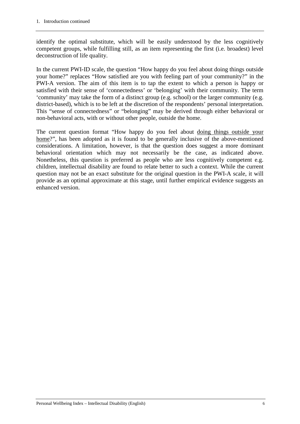identify the optimal substitute, which will be easily understood by the less cognitively competent groups, while fulfilling still, as an item representing the first (i.e. broadest) level deconstruction of life quality.

In the current PWI-ID scale, the question "How happy do you feel about doing things outside your home?" replaces "How satisfied are you with feeling part of your community?" in the PWI-A version. The aim of this item is to tap the extent to which a person is happy or satisfied with their sense of 'connectedness' or 'belonging' with their community. The term 'community' may take the form of a distinct group (e.g. school) or the larger community (e.g. district-based), which is to be left at the discretion of the respondents' personal interpretation. This "sense of connectedness" or "belonging" may be derived through either behavioral or non-behavioral acts, with or without other people, outside the home.

The current question format "How happy do you feel about doing things outside your home?", has been adopted as it is found to be generally inclusive of the above-mentioned considerations. A limitation, however, is that the question does suggest a more dominant behavioral orientation which may not necessarily be the case, as indicated above. Nonetheless, this question is preferred as people who are less cognitively competent e.g. children, intellectual disability are found to relate better to such a context. While the current question may not be an exact substitute for the original question in the PWI-A scale, it will provide as an optimal approximate at this stage, until further empirical evidence suggests an enhanced version.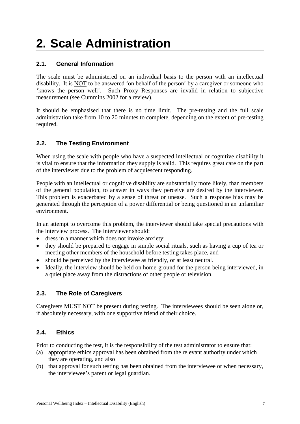# <span id="page-6-0"></span>**2. Scale Administration**

### <span id="page-6-1"></span>**2.1. General Information**

The scale must be administered on an individual basis to the person with an intellectual disability. It is **NOT** to be answered 'on behalf of the person' by a caregiver or someone who 'knows the person well'. Such Proxy Responses are invalid in relation to subjective measurement (see Cummins 2002 for a review).

It should be emphasised that there is no time limit. The pre-testing and the full scale administration take from 10 to 20 minutes to complete, depending on the extent of pre-testing required.

#### <span id="page-6-2"></span>**2.2. The Testing Environment**

When using the scale with people who have a suspected intellectual or cognitive disability it is vital to ensure that the information they supply is valid. This requires great care on the part of the interviewer due to the problem of acquiescent responding.

People with an intellectual or cognitive disability are substantially more likely, than members of the general population, to answer in ways they perceive are desired by the interviewer. This problem is exacerbated by a sense of threat or unease. Such a response bias may be generated through the perception of a power differential or being questioned in an unfamiliar environment.

In an attempt to overcome this problem, the interviewer should take special precautions with the interview process. The interviewer should:

- dress in a manner which does not invoke anxiety;
- they should be prepared to engage in simple social rituals, such as having a cup of tea or meeting other members of the household before testing takes place, and
- should be perceived by the interviewee as friendly, or at least neutral.
- Ideally, the interview should be held on home-ground for the person being interviewed, in a quiet place away from the distractions of other people or television.

### <span id="page-6-3"></span>**2.3. The Role of Caregivers**

Caregivers **MUST NOT** be present during testing. The interviewees should be seen alone or, if absolutely necessary, with one supportive friend of their choice.

### <span id="page-6-4"></span>**2.4. Ethics**

Prior to conducting the test, it is the responsibility of the test administrator to ensure that:

- (a) appropriate ethics approval has been obtained from the relevant authority under which they are operating, and also
- (b) that approval for such testing has been obtained from the interviewee or when necessary, the interviewee's parent or legal guardian.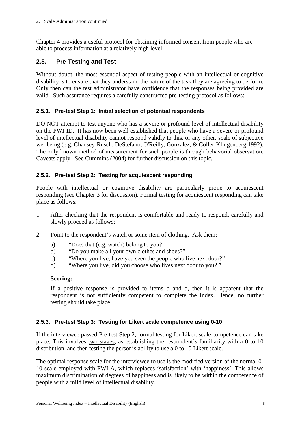Chapter 4 provides a useful protocol for obtaining informed consent from people who are able to process information at a relatively high level.

#### <span id="page-7-0"></span>**2.5. Pre-Testing and Test**

Without doubt, the most essential aspect of testing people with an intellectual or cognitive disability is to ensure that they understand the nature of the task they are agreeing to perform. Only then can the test administrator have confidence that the responses being provided are valid. Such assurance requires a carefully constructed pre-testing protocol as follows:

#### <span id="page-7-1"></span>**2.5.1. Pre-test Step 1: Initial selection of potential respondents**

DO NOT attempt to test anyone who has a severe or profound level of intellectual disability on the PWI-ID. It has now been well established that people who have a severe or profound level of intellectual disability cannot respond validly to this, or any other, scale of subjective wellbeing (e.g. Chadsey-Rusch, DeStefano, O'Reilly, Gonzalez, & Coller-Klingenberg 1992). The only known method of measurement for such people is through behavorial observation. Caveats apply. See Cummins (2004) for further discussion on this topic.

#### <span id="page-7-2"></span>**2.5.2. Pre-test Step 2: Testing for acquiescent responding**

People with intellectual or cognitive disability are particularly prone to acquiescent responding (see Chapter 3 for discussion). Formal testing for acquiescent responding can take place as follows:

- 1. After checking that the respondent is comfortable and ready to respond, carefully and slowly proceed as follows:
- 2. Point to the respondent's watch or some item of clothing. Ask them:
	- a) "Does that (e.g. watch) belong to you?"
	- b) "Do you make all your own clothes and shoes?"
	- c) "Where you live, have you seen the people who live next door?"
	- d) "Where you live, did you choose who lives next door to you? "

#### **Scoring:**

If a positive response is provided to items b and d, then it is apparent that the respondent is not sufficiently competent to complete the Index. Hence, no further testing should take place.

#### <span id="page-7-3"></span>**2.5.3. Pre-test Step 3: Testing for Likert scale competence using 0-10**

If the interviewee passed Pre-test Step 2, formal testing for Likert scale competence can take place. This involves two stages, as establishing the respondent's familiarity with a 0 to 10 distribution, and then testing the person's ability to use a 0 to 10 Likert scale.

The optimal response scale for the interviewee to use is the modified version of the normal 0- 10 scale employed with PWI-A, which replaces 'satisfaction' with 'happiness'. This allows maximum discrimination of degrees of happiness and is likely to be within the competence of people with a mild level of intellectual disability.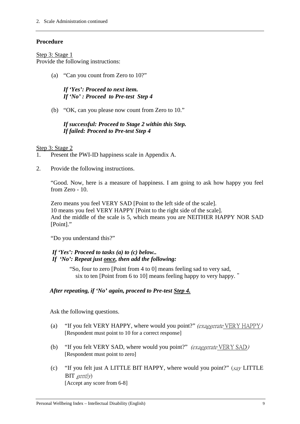#### **Procedure**

Provide the following instructions: Step 3: Stage 1

(a) "Can you count from Zero to 10?"

*If 'Yes': Proceed to next item. If 'No' : Proceed to Pre-test Step 4*

(b) "OK, can you please now count from Zero to 10."

#### *If successful: Proceed to Stage 2 within this Step. If failed: Proceed to Pre-test Step 4*

#### Step 3: Stage 2

- 1. Present the PWI-ID happiness scale in Appendix A.
- 2. Provide the following instructions.

"Good. Now, here is a measure of happiness. I am going to ask how happy you feel from Zero - 10.

Zero means you feel VERY SAD [Point to the left side of the scale]. 10 means you feel VERY HAPPY [Point to the right side of the scale]. And the middle of the scale is 5, which means you are NEITHER HAPPY NOR SAD [Point]."

"Do you understand this?"

#### *If 'Yes': Proceed to tasks (a) to (c) below.. If 'No': Repeat just once , then add the following:*

"So, four to zero [Point from 4 to 0] means feeling sad to very sad, six to ten [Point from 6 to 10] means feeling happy to very happy. "

#### *After repeating, if 'No' again, proceed to Pre-test Step 4.*

Ask the following questions.

- (a) "If you felt VERY HAPPY, where would you point?" (exaggerate VERY HAPPY) [Respondent must point to 10 for a correct response]
- (b) "If you felt VERY SAD, where would you point?" (exaggerate VERY SAD) [Respondent must point to zero]
- (c) "If you felt just A LITTLE BIT HAPPY, where would you point?" (say LITTLE  $BIT$  gently) [Accept any score from 6-8]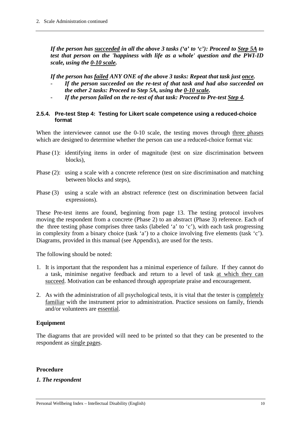*If the person has succeeded in all the above 3 tasks ('a' to 'c'): Proceed to Step 5A to test that person on the 'happiness with life as a whole' question and the PWI-ID scale, using the 0-10 scale.* 

*If the person has failed ANY ONE of the above 3 tasks: Repeat that task just once .* 

- If the person succeeded on the re-test of that task and had also succeeded on *the other 2 tasks: Proceed to Step 5A, using the 0-10 scale .*
- *If the person failed on the re-test of that task: Proceed to Pre-test Step 4.*

#### <span id="page-9-0"></span>**2.5.4. Pre-test Step 4: Testing for Likert scale competence using a reduced-choice format**

When the interviewee cannot use the 0-10 scale, the testing moves through three phases which are designed to determine whether the person can use a reduced-choice format via:

- Phase (1): identifying items in order of magnitude (test on size discrimination between blocks),
- Phase (2): using a scale with a concrete reference (test on size discrimination and matching between blocks and steps),
- Phase (3) using a scale with an abstract reference (test on discrimination between facial expressions).

These Pre-test items are found, beginning from page 13. The testing protocol involves moving the respondent from a concrete (Phase 2) to an abstract (Phase 3) reference. Each of the three testing phase comprises three tasks (labeled 'a' to 'c'), with each task progressing in complexity from a binary choice (task 'a') to a choice involving five elements (task 'c'). Diagrams, provided in this manual (see Appendix), are used for the tests.

The following should be noted:

- 1. It is important that the respondent has a minimal experience of failure. If they cannot do a task, minimise negative feedback and return to a level of task at which they can succeed. Motivation can be enhanced through appropriate praise and encouragement.
- 2. As with the administration of all psychological tests, it is vital that the tester is completely familiar with the instrument prior to administration. Practice sessions on family, friends and/or volunteers are essential.

#### **Equipment**

The diagrams that are provided will need to be printed so that they can be presented to the respondent as single pages.

#### **Procedure**

#### *1. The respondent*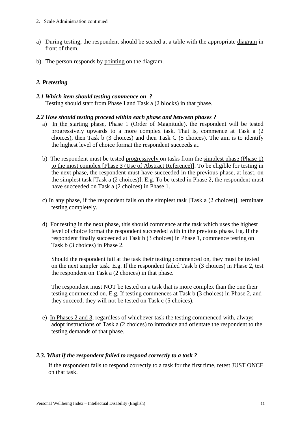- a) During testing, the respondent should be seated at a table with the appropriate diagram in front of them.
- b). The person responds by <u>pointing</u> on the diagram.

#### *2. Pretesting*

#### *2.1 Which item should testing commence on ?* Testing should start from Phase I and Task a (2 blocks) in that phase.

#### *2.2 How should testing proceed within each phase and between phases ?*

- a) In the starting phase, Phase 1 (Order of Magnitude), the respondent will be tested progressively upwards to a more complex task. That is, commence at Task a (2 choices), then Task b (3 choices) and then Task C (5 choices). The aim is to identify the highest level of choice format the respondent succeeds at.
- b) The respondent must be tested progressively on tasks from the simplest phase (Phase 1) to the most complex [Phase 3 (Use of Abstract Reference)]. To be eligible for testing in the next phase, the respondent must have succeeded in the previous phase, at least, on the simplest task [Task a (2 choices)]. E.g. To be tested in Phase 2, the respondent must have succeeded on Task a (2 choices) in Phase 1.
- c) In any phase, if the respondent fails on the simplest task [Task a (2 choices)], terminate testing completely.
- d) For testing in the next phase, this should commence at the task which uses the highest level of choice format the respondent succeeded with in the previous phase. Eg. If the respondent finally succeeded at Task b (3 choices) in Phase 1, commence testing on Task b (3 choices) in Phase 2.

Should the respondent fail at the task their testing commenced on, they must be tested on the next simpler task. E.g. If the respondent failed Task b (3 choices) in Phase 2, test the respondent on Task a (2 choices) in that phase.

The respondent must NOT be tested on a task that is more complex than the one their testing commenced on. E.g. If testing commences at Task b (3 choices) in Phase 2, and they succeed, they will not be tested on Task c (5 choices).

e) In Phases 2 and 3, regardless of whichever task the testing commenced with, always adopt instructions of Task a (2 choices) to introduce and orientate the respondent to the testing demands of that phase.

#### *2.3. What if the respondent failed to respond correctly to a task ?*

If the respondent fails to respond correctly to a task for the first time, retest **JUST ONCE** on that task.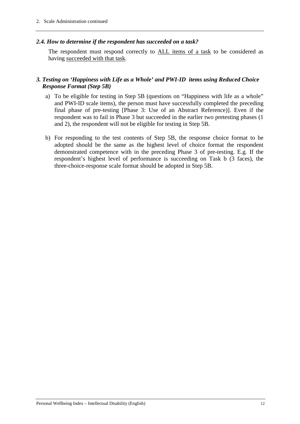#### *2.4. How to determine if the respondent has succeeded on a task?*

The respondent must respond correctly to ALL items of a task to be considered as having succeeded with that task.

#### *3. Testing on 'Happiness with Life as a Whole' and PWI-ID items using Reduced Choice Response Format (Step 5B)*

- a) To be eligible for testing in Step 5B (questions on "Happiness with life as a whole" and PWI-ID scale items), the person must have successfully completed the preceding final phase of pre-testing [Phase 3: Use of an Abstract Reference)]. Even if the respondent was to fail in Phase 3 but succeeded in the earlier two pretesting phases (1 and 2), the respondent will not be eligible for testing in Step 5B.
- b) For responding to the test contents of Step 5B, the response choice format to be adopted should be the same as the highest level of choice format the respondent demonstrated competence with in the preceding Phase 3 of pre-testing. E.g. If the respondent's highest level of performance is succeeding on Task b (3 faces), the three-choice-response scale format should be adopted in Step 5B.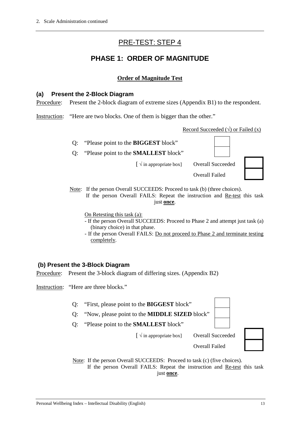### PRE-TEST: STEP 4

### **PHASE 1: ORDER OF MAGNITUDE**

#### **Order of Magnitude Test**

#### <span id="page-12-0"></span>**(a) Present the 2-Block Diagram**

Procedure: Present the 2-block diagram of extreme sizes (Appendix B1) to the respondent.

Instruction: "Here are two blocks. One of them is bigger than the other."

Record Succeeded  $(\sqrt{})$  or Failed  $(x)$ 



Note: If the person Overall SUCCEEDS: Proceed to task (b) (three choices). If the person Overall FAILS: Repeat the instruction and Re-test this task just **once**.

On Retesting this task (a):

- If the person Overall SUCCEEDS: Proceed to Phase 2 and attempt just task (a) (binary choice) in that phase.
- If the person Overall FAILS: Do not proceed to Phase 2 and terminate testing completely.

#### **(b) Present the 3-Block Diagram**

Procedure: Present the 3-block diagram of differing sizes. (Appendix B2)

Instruction: "Here are three blocks."

Q: "First, please point to the **BIGGEST** block" Q: "Now, please point to the **MIDDLE SIZED** block" Q: "Please point to the **SMALLEST** block"  $\lceil \sqrt{\text{in appropriate box}} \rceil$  Overall Succeeded Overall Failed

Note: If the person Overall SUCCEEDS: Proceed to task (c) (five choices). If the person Overall FAILS: Repeat the instruction and Re-test this task just **once**.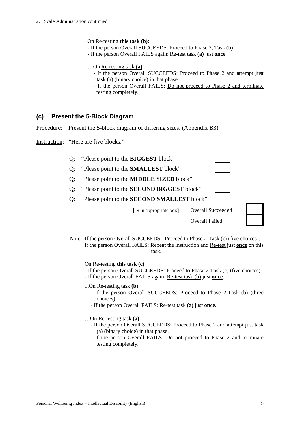#### On Re-testing **this task (b)**:

- If the person Overall SUCCEEDS: Proceed to Phase 2, Task (b).
- If the person Overall FAILS again: Re-test task **(a)** just **once**.

#### …On Re-testing task **(a)**

- If the person Overall SUCCEEDS: Proceed to Phase 2 and attempt just task (a) (binary choice) in that phase.
- If the person Overall FAILS: Do not proceed to Phase 2 and terminate testing completely.

#### **(c) Present the 5-Block Diagram**

Procedure: Present the 5-block diagram of differing sizes. (Appendix B3)

Instruction: "Here are five blocks."



Note: If the person Overall SUCCEEDS: Proceed to Phase 2-Task (c) (five choices). If the person Overall FAILS: Repeat the instruction and Re-test just **once** on this task.

#### On Re-testing **this task (c)**

- If the person Overall SUCCEEDS: Proceed to Phase 2-Task (c) (five choices)
- If the person Overall FAILS again: Re-test task **(b)** just **once** .
- ...On Re-testing task **(b)**
	- If the person Overall SUCCEEDS: Proceed to Phase 2-Task (b) (three choices).
	- If the person Overall FAILS: Re-test task **(a)** just **once**.

…On Re-testing task **(a)**

- If the person Overall SUCCEEDS: Proceed to Phase 2 and attempt just task (a) (binary choice) in that phase.
- If the person Overall FAILS: Do not proceed to Phase 2 and terminate testing completely.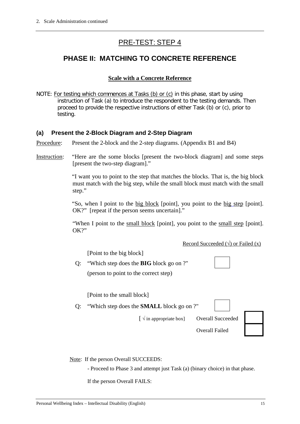### PRE-TEST: STEP 4

### <span id="page-14-0"></span>**PHASE II: MATCHING TO CONCRETE REFERENCE**

#### **Scale with a Concrete Reference**

NOTE: For testing which commences at Tasks (b) or (c) in this phase, start by using instruction of Task (a) to introduce the respondent to the testing demands. Then proceed to provide the respective instructions of either Task (b) or (c), prior to testing.

#### **(a) Present the 2-Block Diagram and 2-Step Diagram**

- Procedure: Present the 2-block and the 2-step diagrams. (Appendix B1 and B4)
- Instruction: : "Here are the some blocks [present the two-block diagram] and some steps [present the two-step diagram]."

"I want you to point to the step that matches the blocks. That is, the big block must match with the big step, while the small block must match with the small step."

"So, when I point to the big block [point], you point to the big step [point]. OK?" [repeat if the person seems uncertain]."

"When I point to the small block [point], you point to the small step [point]. OK?"

Record Succeeded  $(\sqrt{})$  or Failed  $(x)$ 

[Point to the big block]

Q: "Which step does the **BIG** block go on ?"

(person to point to the correct step)

[Point to the small block]

Q: "Which step does the **SMALL** block go on ?"

 $[\sqrt{\ }$  in appropriate box] Overall Succeeded

Overall Failed

Note: If the person Overall SUCCEEDS:

- Proceed to Phase 3 and attempt just Task (a) (binary choice) in that phase.

If the person Overall FAILS: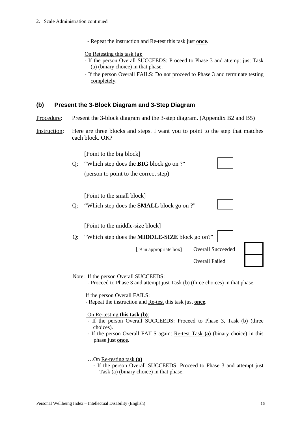- Repeat the instruction and Re-test this task just **once**.

On Retesting this task (a):

- If the person Overall SUCCEEDS: Proceed to Phase 3 and attempt just Task (a) (binary choice) in that phase.
- If the person Overall FAILS: Do not proceed to Phase 3 and terminate testing completely.

#### **(b) Present the 3-Block Diagram and 3-Step Diagram**

- Procedure: Present the 3-block diagram and the 3-step diagram. (Appendix B2 and B5)
- Instruction: Here are three blocks and steps. I want you to point to the step that matches each block. OK?

[Point to the big block]

Q: "Which step does the **BIG** block go on ?"

(person to point to the correct step)

[Point to the small block]

Q: "Which step does the **SMALL** block go on ?"

[Point to the middle-size block]

Q: "Which step does the **MIDDLE-SIZE** block go on?"

 $\lceil \sqrt{\text{in appropriate box}} \rceil$  Overall Succeeded

Note: If the person Overall SUCCEEDS:

- Proceed to Phase 3 and attempt just Task (b) (three choices) in that phase.

Overall Failed

If the person Overall FAILS:

- Repeat the instruction and Re-test this task just **once**.

On Re-testing **this task (b)**:

- If the person Overall SUCCEEDS: Proceed to Phase 3, Task (b) (three choices).
- If the person Overall FAILS again: Re-test Task **(a)** (binary choice) in this phase just **once**.

…On Re-testing task **(a)**

- If the person Overall SUCCEEDS: Proceed to Phase 3 and attempt just Task (a) (binary choice) in that phase.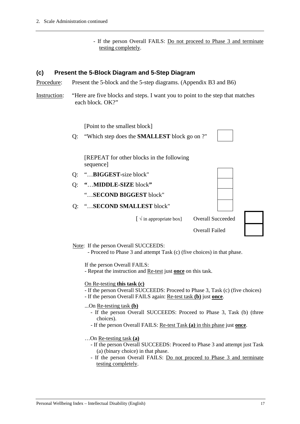- If the person Overall FAILS: Do not proceed to Phase 3 and terminate <u>testing completely</u>.

#### **(c) Present the 5-Block Diagram and 5-Step Diagram**

Procedure: Present the 5-block and the 5-step diagrams. (Appendix B3 and B6)

Instruction each block. OK?" : "Here are five blocks and steps. I want you to point to the step that matches

[Point to the smallest block]



[REPEAT for other blocks in the following sequence]

- Q: "…**BIGGEST-**size block"
- Q: **"**…**MIDDLE-SIZE** block**"**
	- "…**SECOND BIGGEST** block"
- Q: "…**SECOND SMALLEST** block"

 $\lceil \sqrt{\text{in appropriate box}} \rceil$  Overall Succeeded

Overall Failed



Note: If the person Overall SUCCEEDS:

- Proceed to Phase 3 and attempt Task (c) (five choices) in that phase.

If the person Overall FAILS:

- Repeat the instruction and Re-test just **once** on this task.

#### On Re-testing **this task (c)**

- If the person Overall SUCCEEDS: Proceed to Phase 3, Task (c) (five choices)
- If the person Overall FAILS again: Re-test task **(b)** just **once** .

...On Re-testing task **(b)**

- If the person Overall SUCCEEDS: Proceed to Phase 3, Task (b) (three choices).
- If the person Overall FAILS: Re-test Task **(a)** in this phase just **once**.

…On Re-testing task **(a)**

- If the person Overall SUCCEEDS: Proceed to Phase 3 and attempt just Task (a) (binary choice) in that phase.
- If the person Overall FAILS: Do not proceed to Phase 3 and terminate testing completely.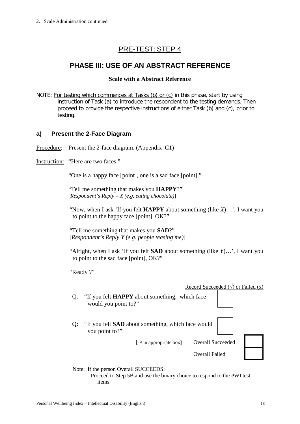### PRE-TEST: STEP 4

### **PHASE III: USE OF AN ABSTRACT REFERENCE**

#### **Scale with a Abstract Reference**

<span id="page-17-0"></span>NOTE: For testing which commences at Tasks (b) or (c) in this phase, start by using instruction of Task (a) to introduce the respondent to the testing demands. Then proceed to provide the respective instructions of either Task (b) and (c), prior to testing.

#### **a) Present the 2-Face Diagram**

Procedure: Present the 2-face diagram. (Appendix C1)

Instruction: "Here are two faces."

"One is a happy face [point], one is a sad face [point]."

"Tell me something that makes you **HAPPY**?" [*Respondent's Reply – X (e.g. eating chocolate)*]

"Now, when I ask 'If you felt **HAPPY** about something (like *X*)…', I want you to point to the happy face [point], OK?"

"Tell me something that makes you **SAD**?" [*Respondent's Reply Y (e.g. people teasing me)*]

"Alright, when I ask 'If you felt **SAD** about something (like *Y*)…', I want you to point to the sad face [point], OK?"

"Ready ?"

|    |                                                                               | Record Succeeded $(\sqrt{})$ or Failed $(x)$ |  |
|----|-------------------------------------------------------------------------------|----------------------------------------------|--|
| Q. | "If you felt <b>HAPPY</b> about something, which face<br>would you point to?" |                                              |  |
| Q: | "If you felt <b>SAD</b> about something, which face would<br>you point to?"   |                                              |  |
|    | $\lceil \sqrt{\text{in appropriate box}} \rceil$                              | <b>Overall Succeeded</b>                     |  |
|    |                                                                               | <b>Overall Failed</b>                        |  |
|    | Note: If the person Overall SUCCEEDS:                                         |                                              |  |

- Proceed to Step 5B and use the binary choice to respond to the PWI test items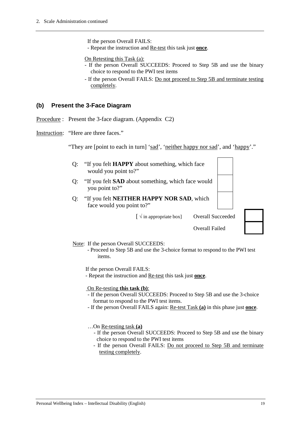If the person Overall FAILS:

- Repeat the instruction and Re-test this task just **once**.

On Retesting this Task (a):

- If the person Overall SUCCEEDS: Proceed to Step 5B and use the binary choice to respond to the PWI test items
- If the person Overall FAILS: Do not proceed to Step 5B and terminate testing completely.

#### **(b) Present the 3-Face Diagram**

Procedure : Present the 3-face diagram. (Appendix C2)

Instruction: "Here are three faces."

"They are [point to each in turn] 'sad', 'neither happy nor sad', and 'happy'."

- Q: "If you felt **HAPPY** about something, which face would you point to?"
- Q: "If you felt **SAD** about something, which face would you point to?"
- Q: "If you felt **NEITHER HAPPY NOR SAD**, which face would you point to?"

 $[\sqrt{\ }$  in appropriate box] Overall Succeeded



Overall Failed



#### Note: If the person Overall SUCCEEDS:

 - Proceed to Step 5B and use the 3-choice format to respond to the PWI test items.

If the person Overall FAILS:

- Repeat the instruction and Re-test this task just **once**.

On Re-testing **this task (b)**:

- If the person Overall SUCCEEDS: Proceed to Step 5B and use the 3-choice format to respond to the PWI test items.
- If the person Overall FAILS again: Re-test Task **(a)** in this phase just **once**.

…On Re-testing task **(a)**

- If the person Overall SUCCEEDS: Proceed to Step 5B and use the binary choice to respond to the PWI test items
- If the person Overall FAILS: Do not proceed to Step 5B and terminate testing completely.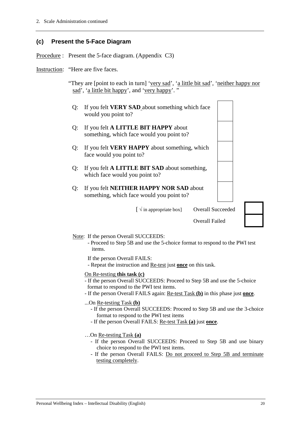#### **(c) Present the 5-Face Diagram**

Procedure : Present the 5-face diagram. (Appendix C3)

Instruction: "Here are five faces.

"They are [point to each in turn] 'very sad', 'a little bit sad', 'neither happy nor sad', 'a little bit happy', and 'very happy'. "

- Q: If you felt **VERY SAD** about something which face would you point to?
- Q: If you felt **A LITTLE BIT HAPPY** about something, which face would you point to?
- Q: If you felt **VERY HAPPY** about something, which face would you point to?
- Q: If you felt **A LITTLE BIT SAD** about something, which face would you point to?
- Q: If you felt **NEITHER HAPPY NOR SAD** about something, which face would you point to?

 $\lceil \sqrt{\text{in appropriate box}} \rceil$  Overall Succeeded

- Note: If the person Overall SUCCEEDS:
	- Proceed to Step 5B and use the 5-choice format to respond to the PWI test items.

Overall Failed

- If the person Overall FAILS:
- Repeat the instruction and Re-test just **once** on this task.

On Re-testing **this task (c)** 

- If the person Overall SUCCEEDS: Proceed to Step 5B and use the 5-choice format to respond to the PWI test items.
- If the person Overall FAILS again: Re-test Task **(b)** in this phase just **once** .

...On Re-testing Task **(b)**

- If the person Overall SUCCEEDS: Proceed to Step 5B and use the 3-choice format to respond to the PWI test items
- If the person Overall FAILS: Re-test Task **(a)** just **once**.

…On Re-testing Task **(a)**

- If the person Overall SUCCEEDS: Proceed to Step 5B and use binary choice to respond to the PWI test items.
- If the person Overall FAILS: Do not proceed to Step 5B and terminate testing completely.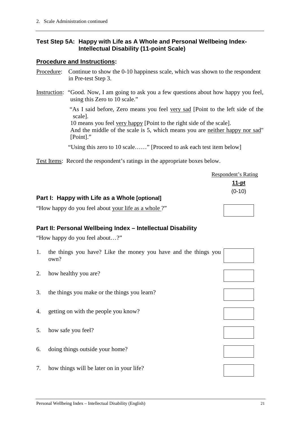#### <span id="page-20-0"></span>**Test Step 5A: Happy with Life as A Whole and Personal Wellbeing Index-Intellectual Disability (11-point Scale)**

#### **Procedure and Instructions:**

- Procedure: Continue to show the 0-10 happiness scale, which was shown to the respondent in Pre-test Step 3.
- Instruction: "Good. Now, I am going to ask you a few questions about how happy you feel, using this Zero to 10 scale."

"As I said before, Zero means you feel very sad [Point to the left side of the 10 means you feel very happy [Point to the right side of the scale]. scale].

And the middle of the scale is 5, which means you are neither happy nor sad" [Point]."

"Using this zero to 10 scale……" [Proceed to ask each test item below]

Test Items: Record the respondent's ratings in the appropriate boxes below.

|                                                     | Respondent's Rating |
|-----------------------------------------------------|---------------------|
|                                                     | $11-pt$             |
|                                                     | $(0-10)$            |
| Part I: Happy with Life as a Whole [optional]       |                     |
| "How happy do you feel about your life as a whole?" |                     |

#### **Part II: Personal Wellbeing Index – Intellectual Disability**

"How happy do you feel about…?"

1. the things you have? Like the money you have and the things you own? 2. how healthy you are? 3. the things you make or the things you learn? 4. getting on with the people you know? 5. how safe you feel? 6. doing things outside your home? 7. how things will be later on in your life?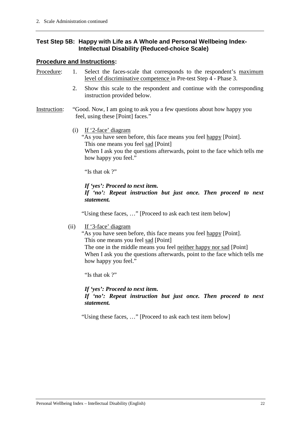#### <span id="page-21-0"></span>**Test Step 5B: Happy with Life as A Whole and Personal Wellbeing Index-Intellectual Disability (Reduced-choice Scale)**

#### **Procedure and Instructions:**

- Procedure: 1. Select the faces-scale that corresponds to the respondent's maximum level of discriminative competence in Pre-test Step 4 - Phase 3.
	- 2. Show this scale to the respondent and continue with the corresponding instruction provided below.
- Instruction: feel, using these [Point] faces." : "Good. Now, I am going to ask you a few questions about how happy you
	- (i) If '2-face' diagram "As you have seen before, this face means you feel happy [Point]. This one means you feel sad [Point] When I ask you the questions afterwards, point to the face which tells me how happy you feel."

"Is that ok ?"

#### *If 'yes': Proceed to next item. If 'no': Repeat instruction but just once. Then proceed to next statement.*

"Using these faces, …" [Proceed to ask each test item below]

(ii) If '3-face' diagram

> "As you have seen before, this face means you feel happy [Point]. This one means you feel sad [Point] The one in the middle means you feel **neither happy nor sad** [Point] When I ask you the questions afterwards, point to the face which tells me how happy you feel."

"Is that ok ?"

*If 'yes': Proceed to next item. If 'no': Repeat instruction but just once. Then proceed to next statement.*

"Using these faces, …" [Proceed to ask each test item below]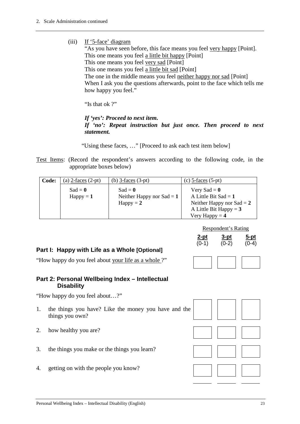(iii) "As you have seen before, this face means you feel very happy [Point]. If '5-face' diagram This one means you feel **a** little bit happy [Point] This one means you feel very sad [Point] This one means you feel <u>a little bit sad</u> [Point] The one in the middle means you feel **neither happy nor sad** [Point] When I ask you the questions afterwards, point to the face which tells me how happy you feel."

"Is that ok ?"

#### *If 'yes': Proceed to next item. If 'no': Repeat instruction but just once. Then proceed to next statement.*

"Using these faces, …" [Proceed to ask each test item below]

Test Items: (Record the respondent's answers according to the following code, in the appropriate boxes below)

| Code: | (a) $2$ -faces (2-pt)     | (b) $3$ -faces (3-pt)                                    | (c) $5$ -faces (5-pt)                                                                                                            |
|-------|---------------------------|----------------------------------------------------------|----------------------------------------------------------------------------------------------------------------------------------|
|       | $Sad = 0$<br>$H$ appy = 1 | $Sad = 0$<br>Neither Happy nor $Sad = 1$<br>$H$ appy = 2 | Very Sad = $\mathbf{0}$<br>A Little Bit Sad = $1$<br>Neither Happy nor $Sad = 2$<br>A Little Bit Happy = $3$<br>Very Happy $=$ 4 |

| Respondent's Rating |  |
|---------------------|--|
|                     |  |

| <u>2-pt</u> | <u>3-pt</u> | <u>5-pt</u> |
|-------------|-------------|-------------|
| $(0-1)$     | $(0-2)$     | $(0-4)$     |

### **Part I: Happy with Life as a Whole [Optional]**

"How happy do you feel about your life as a whole ?"

#### **Part 2: Personal Wellbeing Index – Intellectual Disability**

"How happy do you feel about…?"

- 1. the things you have? Like the money you have and the things you own?
- 2. how healthy you are?
- 3. the things you make or the things you learn?
- 4. getting on with the people you know?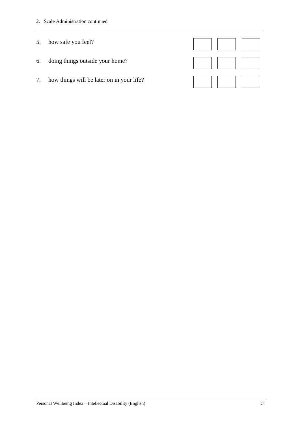2. Scale Administration continued

| 5. | how safe you feel?                        |                   |
|----|-------------------------------------------|-------------------|
| 6. | doing things outside your home?           | <b>The Common</b> |
| 7. | how things will be later on in your life? |                   |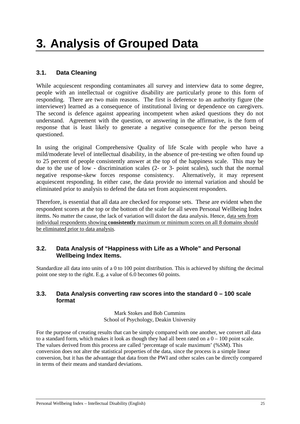### <span id="page-24-1"></span><span id="page-24-0"></span>**3.1. Data Cleaning**

While acquiescent responding contaminates all survey and interview data to some degree, people with an intellectual or cognitive disability are particularly prone to this form of responding. There are two main reasons. The first is deference to an authority figure (the interviewer) learned as a consequence of institutional living or dependence on caregivers. The second is defence against appearing incompetent when asked questions they do not understand. Agreement with the question, or answering in the affirmative, is the form of response that is least likely to generate a negative consequence for the person being questioned.

In using the original Comprehensive Quality of life Scale with people who have a mild/moderate level of intellectual disability, in the absence of pre-testing we often found up to 25 percent of people consistently answer at the top of the happiness scale. This may be due to the use of low - discrimination scales (2- or 3- point scales), such that the normal negative response-skew forces response consistency. Alternatively, it may represent acquiescent responding. In either case, the data provide no internal variation and should be eliminated prior to analysis to defend the data set from acquiescent responders.

Therefore, is essential that all data are checked for response sets. These are evident when the respondent scores at the top or the bottom of the scale for all seven Personal Wellbeing Index items. No matter the cause, the lack of variation will distort the data analysis. Hence, data sets from individual respondents showing **consistently** maximum or minimum scores on all 8 domains should be eliminated prior to data analysis.

#### <span id="page-24-2"></span>**3.2. Data Analysis of "Happiness with Life as a Whole" and Personal Wellbeing Index Items.**

Standardize all data into units of a 0 to 100 point distribution. This is achieved by shifting the decimal point one step to the right. E.g. a value of 6.0 becomes 60 points.

#### <span id="page-24-3"></span>**3.3. Data Analysis converting raw scores into the standard 0 – 100 scale format**

Mark Stokes and Bob Cummins School of Psychology, Deakin University

For the purpose of creating results that can be simply compared with one another, we convert all data to a standard form, which makes it look as though they had all been rated on a  $0 - 100$  point scale. The values derived from this process are called 'percentage of scale maximum' (%SM). This conversion does not alter the statistical properties of the data, since the process is a simple linear conversion, but it has the advantage that data from the PWI and other scales can be directly compared in terms of their means and standard deviations.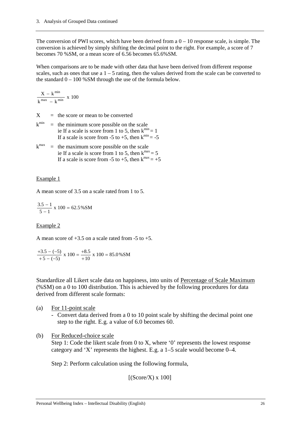The conversion of PWI scores, which have been derived from a  $0 - 10$  response scale, is simple. The conversion is achieved by simply shifting the decimal point to the right. For example, a score of 7 becomes 70 %SM, or a mean score of 6.56 becomes 65.6%SM.

When comparisons are to be made with other data that have been derived from different response scales, such as ones that use a  $1 - 5$  rating, then the values derived from the scale can be converted to the standard  $0 - 100$  %SM through the use of the formula below.

$$
\frac{X\,-\,k^{\,min}}{k^{\,max}\,-\,k^{\,min}}\,\,x\,\,100
$$

 $X =$  the score or mean to be converted

- $k^{\min}$ ie If a scale is score from 1 to 5, then  $k^{\text{min}} = 1$ = the minimum score possible on the scale If a scale is score from -5 to +5, then  $k^{\text{min}} = -5$
- k max ie If a scale is score from 1 to 5, then  $k^{max} = 5$  $=$  the maximum score possible on the scale ie If a scale is score from 1 to 5, then  $k^{max} = 5$ <br>If a scale is score from -5 to +5, then  $k^{max} = +5$

#### Example 1

A mean score of 3.5 on a scale rated from 1 to 5.

$$
\frac{3.5 - 1}{5 - 1} \times 100 = 62.5\%SM
$$

#### Example 2

A mean score of  $+3.5$  on a scale rated from  $-5$  to  $+5$ .

$$
\frac{+3.5 - (-5)}{+5 - (-5)} \times 100 = \frac{+8.5}{+10} \times 100 = 85.0\% \text{SM}
$$

Standardize all Likert scale data on happiness, into units of Percentage of Scale Maximum (%SM) on a 0 to 100 distribution. This is achieved by the following procedures for data derived from different scale formats:

- (a) For 11-point scale
	- Convert data derived from a 0 to 10 point scale by shifting the decimal point one step to the right. E.g. a value of 6.0 becomes 60.
- (b) For Reduced-choice scale

Step 1: Code the likert scale from 0 to X, where '0' represents the lowest response category and 'X' represents the highest. E.g. a 1–5 scale would become 0–4.

Step 2: Perform calculation using the following formula,

 $[(Score/X) \times 100]$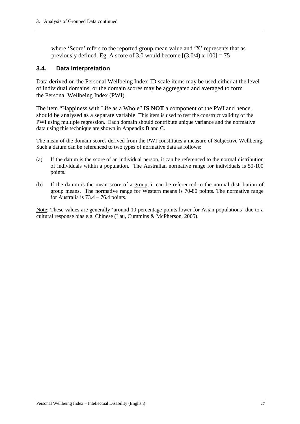where 'Score' refers to the reported group mean value and 'X' represents that as previously defined. Eg. A score of 3.0 would become  $[(3.0/4) \times 100] = 75$ 

#### <span id="page-26-0"></span>**3.4. Data Interpretation**

Data derived on the Personal Wellbeing Index-ID scale items may be used either at the level of individual domains, or the domain scores may be aggregated and averaged to form the <u>Personal Wellbeing Index</u> (PWI).

The item "Happiness with Life as a Whole" **IS NOT** a component of the PWI and hence, should be analysed as a separate variable. This item is used to test the construct validity of the PWI using multiple regression. Each domain should contribute unique variance and the normative data using this technique are shown in Appendix B and C.

The mean of the domain scores derived from the PWI constitutes a measure of Subjective Wellbeing. Such a datum can be referenced to two types of normative data as follows:

- (a) If the datum is the score of an individual person , it can be referenced to the normal distribution of individuals within a population. The Australian normative range for individuals is 50-100 points.
- (b) If the datum is the mean score of a group, it can be referenced to the normal distribution of group means. The normative range for Western means is 70-80 points. The normative range for Australia is 73.4 – 76.4 points.

Note: These values are generally 'around 10 percentage points lower for Asian populations' due to a cultural response bias e.g. Chinese (Lau, Cummins & McPherson, 2005).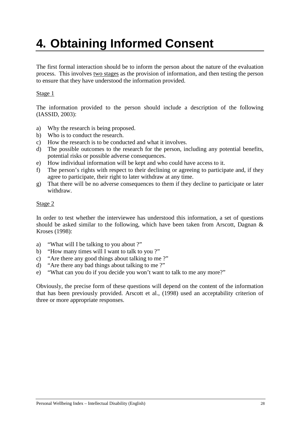# <span id="page-27-0"></span>**4. Obtaining Informed Consent**

The first formal interaction should be to inform the person about the nature of the evaluation process. This involves two stages as the provision of information, and then testing the person to ensure that they have understood the information provided.

#### Stage 1

The information provided to the person should include a description of the following (IASSID, 2003):

- a) Why the research is being proposed.
- b) Who is to conduct the research.
- c) How the research is to be conducted and what it involves.
- d) The possible outcomes to the research for the person, including any potential benefits, potential risks or possible adverse consequences.
- e) How individual information will be kept and who could have access to it.
- f) The person's rights with respect to their declining or agreeing to participate and, if they agree to participate, their right to later withdraw at any time.
- g) That there will be no adverse consequences to them if they decline to participate or later withdraw.

#### Stage 2

In order to test whether the interviewee has understood this information, a set of questions should be asked similar to the following, which have been taken from Arscott, Dagnan & Kroses (1998):

- a) "What will I be talking to you about ?"
- b) "How many times will I want to talk to you ?"
- c) "Are there any good things about talking to me ?"
- d) "Are there any bad things about talking to me ?"
- e) "What can you do if you decide you won't want to talk to me any more?"

Obviously, the precise form of these questions will depend on the content of the information that has been previously provided. Arscott et al., (1998) used an acceptability criterion of three or more appropriate responses.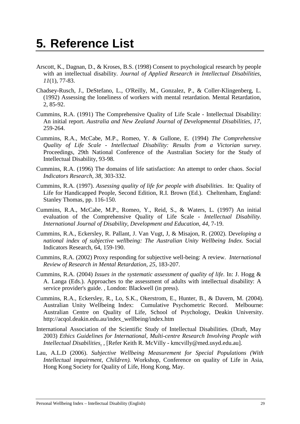- <span id="page-28-0"></span>Arscott, K., Dagnan, D., & Kroses, B.S. (1998) Consent to psychological research by people with an intellectual disability. *Journal of Applied Research in Intellectual Disabilities, 11*(1), 77-83.
- Chadsey-Rusch, J., DeStefano, L., O'Reilly, M., Gonzalez, P., & Coller-Klingenberg, L. (1992) Assessing the loneliness of workers with mental retardation. Mental Retardation, 2, 85-92.
- Cummins, R.A. (1991) The Comprehensive Quality of Life Scale Intellectual Disability: An initial report. *Australia and New Zealand Journal of Developmental Disabilities, 17*, 259-264.
- Cummins, R.A., McCabe, M.P., Romeo, Y. & Gullone, E. (1994) *The Comprehensive Quality of Life Scale - Intellectual Disability: Results from a Victorian survey.* Proceedings, 29th National Conference of the Australian Society for the Study of Intellectual Disability, 93-98.
- Cummins, R.A. (1996) The domains of life satisfaction: An attempt to order chaos. *Social Indicators Research, 38,* 303-332.
- Cummins, R.A. (1997). *Assessing quality of life for people with disabilities*. In: Quality of Life for Handicapped People, Second Edition, R.I. Brown (Ed.). Cheltenham, England: Stanley Thomas, pp. 116-150.
- Cummins, R.A., McCabe, M.P., Romeo, Y., Reid, S., & Waters, L. (1997) An initial evaluation of the Comprehensive Quality of Life Scale - *Intellectual Disability. International Journal of Disability, Development and Education, 44*, 7-19.
- Cummins, R.A., Eckersley, R. Pallant, J. Van Vugt, J, & Misajon, R. (2002). D*eveloping a national index of subjective wellbeing: The Australian Unity Wellbeing Index.* Social Indicators Research, 64, 159-190.
- Cummins, R.A. (2002) Proxy responding for subjective well-being: A review. *International Review of Research in Mental Retardation, 25,* 183-207.
- Cummins, R.A. (2004) *Issues in the systematic assessment of quality of life*. In: J. Hogg & A. Langa (Eds.). Approaches to the assessment of adults with intellectual disability: A service provider's guide. , London: Blackwell (in press).
- Cummins, R.A., Eckersley, R., Lo, S.K., Okerstrom, E., Hunter, B., & Davern, M. (2004). Australian Unity Wellbeing Index: Cumulative Psychometric Record. Melbourne: Australian Centre on Quality of Life, School of Psychology, Deakin University. http://acqol.deakin.edu.au/index\_wellbeing/index.htm
- International Association of the Scientific Study of Intellectual Disabilities. (Draft, May 2003) *Ethics Guidelines for International, Multi-centre Research Involving People with Intellectual Disabilities*. , [Refer Keith R. McVilly - kmcvilly@med.usyd.edu.au].
- Lau, A.L.D (2006). *Subjective Wellbeing Measurement for Special Populations (With Intellectual impairment, Children).* Workshop, Conference on quality of Life in Asia, Hong Kong Society for Quality of Life, Hong Kong, May.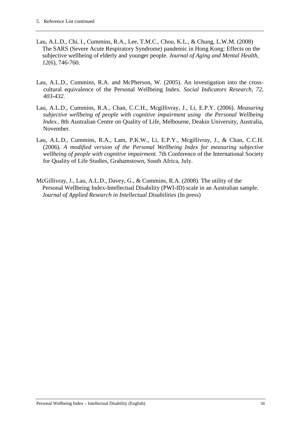- Lau, A.L.D., Chi, I., Cummins, R.A., Lee, T.M.C., Chou, K.L., & Chung, L.W.M. (2008) The SARS (Severe Acute Respiratory Syndrome) pandemic in Hong Kong: Effects on the subjective wellbeing of elderly and younger people. *Journal of Aging and Mental Health, 12*(6), 746-760.
- Lau, A.L.D., Cummins, R.A. and McPherson, W. (2005). An investigation into the crosscultural equivalence of the Personal Wellbeing Index. *Social Indicators Research, 72, 403-432.*
- Lau, A.L.D., Cummins, R.A., Chan, C.C.H., Mcgillivray, J., Li, E.P.Y. (2006). *Measuring subjective wellbeing of people with cognitive impairment using the Personal Wellbeing Index..* 8th Australian Centre on Quality of Life, Melbourne, Deakin University, Australia, November.
- Lau, A.L.D., Cummins, R.A., Lam, P.K.W., Li, E.P.Y., Mcgillivray, J., & Chan, C.C.H. (2006). *A modified version of the Personal Wellbeing Index for measuring subjective wellbeing of people with cognitive impairment.* 7th Conference of the International Society for Quality of Life Studies, Grahamstown, South Africa, July.
- McGillivray, J., Lau, A.L.D., Davey, G., & Cummins, R.A. (2008). The utility of the Personal Wellbeing Index-Intellectual Disability (PWI-ID) scale in an Australian sample. *Journal of Applied Research in Intellectual Disabilities* (In press)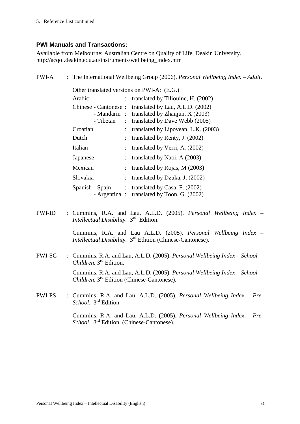#### **PWI Manuals and Transactions:**

Available from Melbourne: Australian Centre on Quality of Life, Deakin University. [http://acqol.deakin.edu.au/instruments/wellbeing\\_index.htm](http://acqol.deakin.edu.au/instruments/wellbeing_index.htm)

PWI-A : The International Wellbeing Group (2006). *Personal Wellbeing Index – Adult*.

Other translated versions on PWI-A: (E.G.) Arabic : translated by Tiliouine, H. (2002) Chinese - Cantonese : translated by Lau, A.L.D. (2002)<br>- Mandarin : translated by Zhaniun, X (2003) translated by Zhanjun,  $X$  (2003) - Tibetan : translated by Dave Webb (2005) Croatian : translated by Lipovean, L.K. (2003) Dutch : translated by Renty, J. (2002) Italian : translated by Verri, A. (2002) Japanese : translated by Naoi, A (2003) Mexican : translated by Rojas, M (2003) Slovakia : translated by Dzuka, J. (2002) Spanish - Spain : translated by Casa, F. (2002) - Argentina : translated by Toon, G. (2002) PWI-ID : Cummins, R.A. and Lau, A.L.D. (2005). *Personal Wellbeing Index – Intellectual Disability.* 3rd Edition. Cummins, R.A. and Lau A.L.D. (2005). *Personal Wellbeing Index – Intellectual Disability.* 3<sup>rd</sup> Edition (Chinese-Cantonese). PWI-SC : Cummins, R.A. and Lau, A.L.D. (2005). *Personal Wellbeing Index – School* Children. 3<sup>rd</sup> Edition. Cummins, R.A. and Lau, A.L.D. (2005). *Personal Wellbeing Index – School* Children. 3<sup>rd</sup> Edition (Chinese-Cantonese). PWI-PS : Cummins, R.A. and Lau, A.L.D. (2005). *Personal Wellbeing Index – Pre-*School. 3<sup>rd</sup> Edition.

 Cummins, R.A. and Lau, A.L.D. (2005). *Personal Wellbeing Index – Pre-*School. 3<sup>rd</sup> Edition. (Chinese-Cantonese).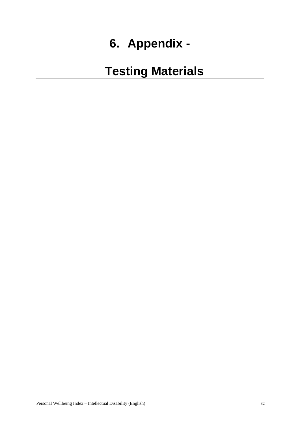# <span id="page-31-0"></span>**6. Appendix -**

# **Testing Materials**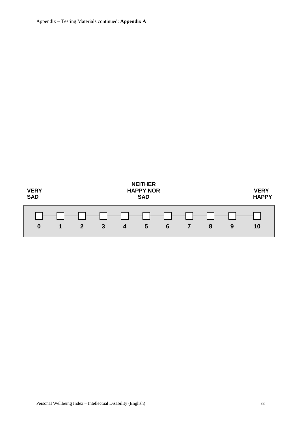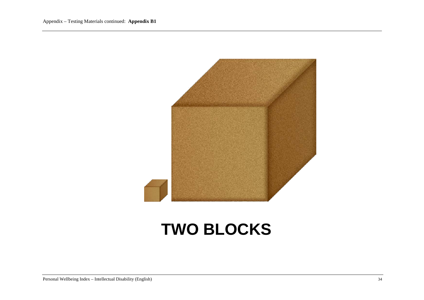

# **TWO BLOCKS**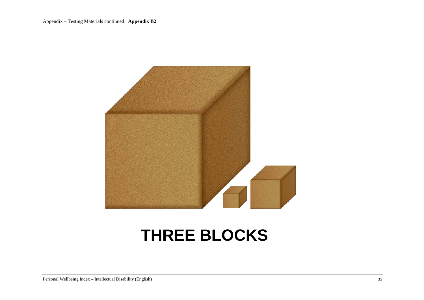

# **THREE BLOCKS**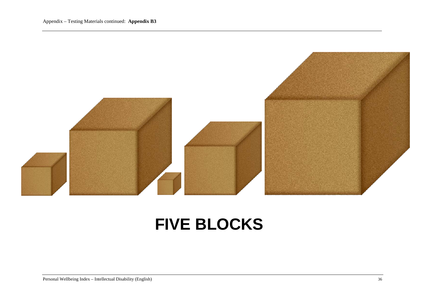

# **FIVE BLOCKS**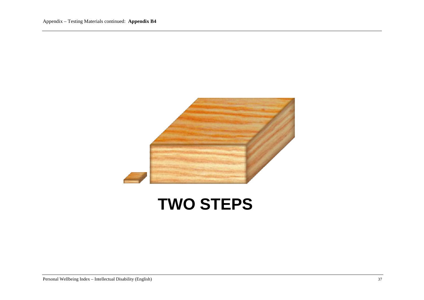

# **TWO STEPS**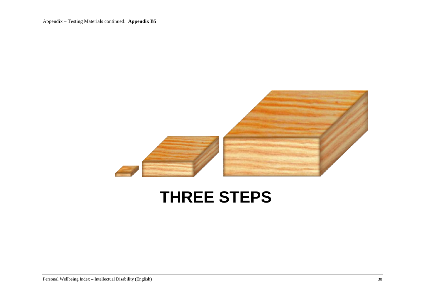

# **THREE STEPS**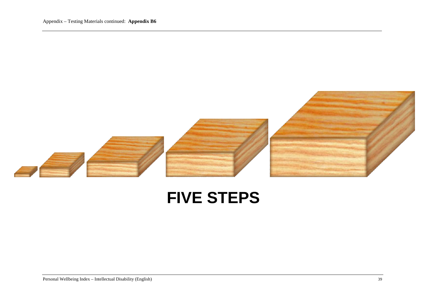

# **FIVE STEPS**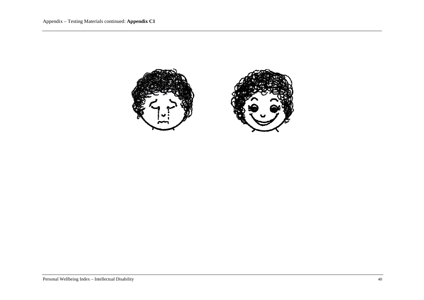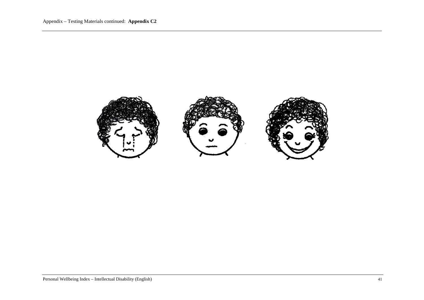